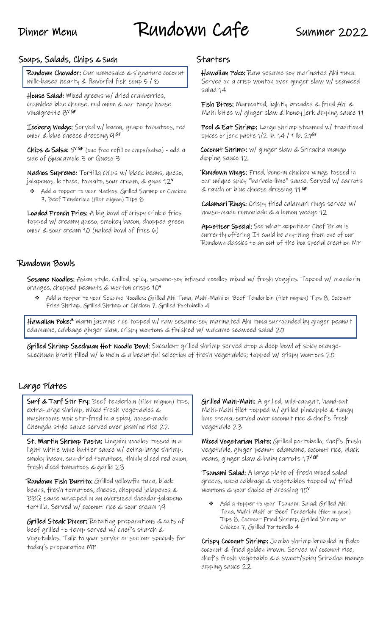# Dinner Menu Rundown Cafe Summer 2022

# Soups, Salads, Chips & Such

Rundown Chowder: Our namesake & signature coconut milk-based hearty & flavorful fish soup 5 / 8

House Salad: Mixed greens w/ dried cranberries, crumbled blue cheese, red onion & our tangy house vinaigrette 8<sup>v GF</sup>

Iceberg Wedge: Served w/ bacon, grape tomatoes, red onion & blue cheese dressing 9 <sup>GF</sup>

Chips & Salsa:  $5^{\vee}$ <sup>GF</sup> (one free refill on chips/salsa) - add a side of Guacamole 3 or Queso 3

Nachos Supreme: Tortilla chips w/ black beans, queso, jalapenos, lettuce, tomato, sour cream, & guac 12 $^{\mathsf{v}}$ 

Add a topper to your Nachos: Grilled Shrimp or Chicken 7, Beef Tenderloin (filet mignon) Tips 8

Loaded French Fries: A big bowl of crispy crinkle fries topped w/ creamy queso, smokey bacon, chopped green onion & sour cream 10 (naked bowl of fries 6)

# **Starters**

Hawaiian Poke: Raw sesame soy marinated Ahi tuna. Served on a crisp wonton over ginger slaw w/ seaweed salad 14

Fish Bites: Marinated, lightly breaded & fried Ahi & Mahi bites w/ ginger slaw & honey jerk dipping sauce 11

Peel & Eat Shrimp: Large shrimp steamed w/ traditional spices or jerk paste 1/2 lb. 14 / 1 lb. 21**<sup>GF</sup>** 

Coconut Shrimp: w/ ginger slaw & Sriracha mango dipping sauce 12

Rundown Wings: Fried, bone-in chicken wings tossed in our unique spicy "barbelo lime" sauce. Served w/ carrots & ranch or blue cheese dressing 11 GF

Calamari Rings: Crispy fried calamari rings served w/ house-made remoulade & a lemon wedge 12

Appetizer Special: See what appetizer Chef Brian is currently offering It could be anything from one of our Rundown classics to an out of the box special creation MP

# Rundown Bowls

Sesame Noodles: Asian style, chilled, spicy, sesame-soy infused noodles mixed w/ fresh veggies. Topped w/ mandarin oranges, chopped peanuts & wonton crisps 10<sup>V</sup>

❖ Add a topper to your Sesame Noodles: Grilled Ahi Tuna, Mahi-Mahi or Beef Tenderloin (filet mignon) Tips 8, Coconut Fried Shrimp, Grilled Shrimp or Chicken 7, Grilled Portobello 4

Hawaiian Poke:\* Warm jasmine rice topped w/ raw sesame-soy marinated Ahi tuna surrounded by ginger peanut edamame, cabbage ginger slaw, crispy wontons & finished w/ wakame seaweed salad 20

Grilled Shrimp Szechuan Hot Noodle Bowl: Succulent grilled shrimp served atop a deep bowl of spicy orangeszechuan broth filled w/ lo mein & a beautiful selection of fresh vegetables; topped w/ crispy wontons 20

## Large Plates

Surf & Turf Stir Fry: Beef tenderloin (filet mignon) tips, extra-large shrimp, mixed fresh vegetables & mushrooms wok stir-fried in a spicy, house-made Chengdu style sauce served over jasmine rice 22

St. Martin Shrimp Pasta: Linguini noodles tossed in a light white wine butter sauce w/ extra-large shrimp, smoky bacon, sun-dried tomatoes, thinly sliced red onion, fresh diced tomatoes & garlic 23

Rundown Fish Burrito: Grilled yellowfin tuna, black beans, fresh tomatoes, cheese, chopped jalapenos & BBQ sauce wrapped in an oversized cheddar-jalapeno tortilla. Served w/ coconut rice & sour cream 19

Grilled Steak Dinner: Rotating preparations & cuts of beef grilled to temp served w/ chef's starch & vegetables. Talk to your server or see our specials for today's preparation MP

Grilled Mahi-Mahi: A grilled, wild-caught, hand-cut Mahi-Mahi filet topped w/ grilled pineapple & tangy lime crema, served over coconut rice & chef's fresh vegetable 23

Mixed Vegetarian Plate: Grilled portobello, chef's fresh vegetable, ginger peanut edamame, coconut rice, black beans, ginger slaw & baby carrots 17<sup>v GF</sup>

Tsunami Salad: A large plate of fresh mixed salad greens, napa cabbage & vegetables topped w/ fried wontons & your choice of dressing 10<sup>V</sup>

❖ Add a topper to your Tsunami Salad: Grilled Ahi Tuna, Mahi-Mahi or Beef Tenderloin (filet mignon) Tips 8, Coconut Fried Shrimp, Grilled Shrimp or Chicken 7, Grilled Portobello 4

Crispy Coconut Shrimp: Jumbo shrimp breaded in flake coconut & fried golden brown. Served w/ coconut rice, chef's fresh vegetable & a sweet/spicy Sriracha mango dipping sauce 22